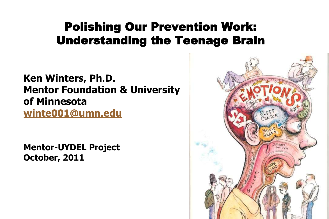### Polishing Our Prevention Work: Understanding the Teenage Brain

**Ken Winters, Ph.D. Mentor Foundation & University of Minnesota [winte001@umn.edu](mailto:winte001@umn.edu)**

**Mentor-UYDEL Project October, 2011**

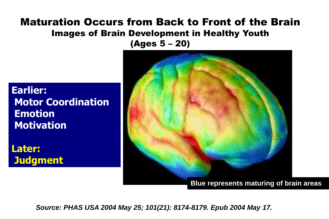#### Maturation Occurs from Back to Front of the Brain Images of Brain Development in Healthy Youth (Ages 5 – 20)

#### **Earlier: Motor Coordination Emotion Motivation**

**Later: Judgment**



*Source: PHAS USA 2004 May 25; 101(21): 8174-8179. Epub 2004 May 17.*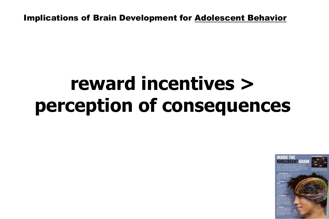Implications of Brain Development for Adolescent Behavior

# **reward incentives > perception of consequences**

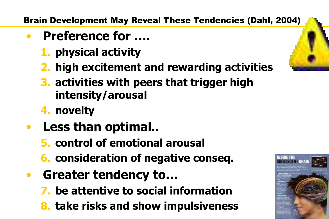Brain Development May Reveal These Tendencies (Dahl, 2004)

- **Preference for ….**
	- **1. physical activity**
	- **2. high excitement and rewarding activities**
	- **3. activities with peers that trigger high intensity/arousal**
	- **4. novelty**
- **Less than optimal..**
	- **5. control of emotional arousal**
	- **6. consideration of negative conseq.**
- **Greater tendency to…**
	- **7. be attentive to social information**
	- **8. take risks and show impulsiveness**



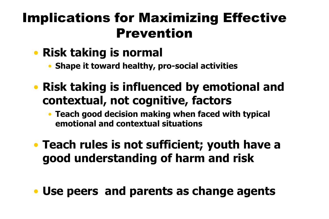### Implications for Maximizing Effective Prevention

- **Risk taking is normal**
	- **Shape it toward healthy, pro-social activities**
- **Risk taking is influenced by emotional and contextual, not cognitive, factors**
	- **Teach good decision making when faced with typical emotional and contextual situations**
- **Teach rules is not sufficient; youth have a good understanding of harm and risk**
- **Use peers and parents as change agents**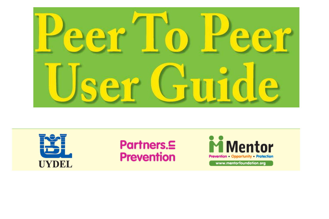



### Partners.5 **Prevention**

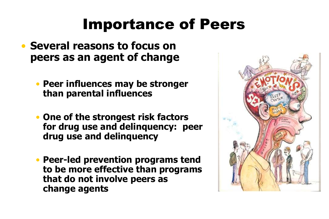# Importance of Peers

- **Several reasons to focus on peers as an agent of change**
	- **Peer influences may be stronger than parental influences**
	- **One of the strongest risk factors for drug use and delinquency: peer drug use and delinquency**
	- **Peer-led prevention programs tend to be more effective than programs that do not involve peers as change agents**

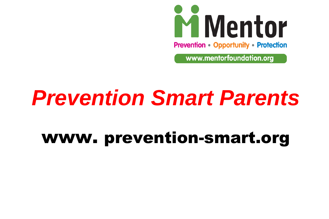

www.mentorfoundation.org

# *Prevention Smart Parents*

# www. prevention-smart.org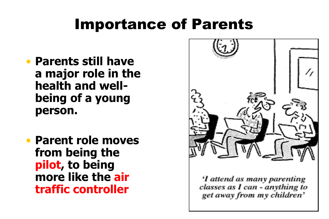## Importance of Parents

- **Parents still have a major role in the health and wellbeing of a young person.**
- **Parent role moves from being the pilot, to being more like the air traffic controller**



classes as I can - anything to get away from my children'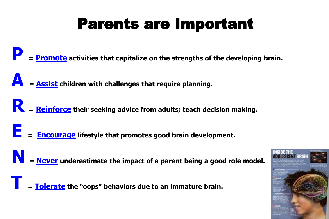# Parents are Important

**P <sup>=</sup>Promote activities that capitalize on the strengths of the developing brain.**

**A <sup>=</sup>Assist children with challenges that require planning.**

**R <sup>=</sup>Reinforce their seeking advice from adults; teach decision making.**

**E <sup>=</sup>Encourage lifestyle that promotes good brain development.** 

**N** = Never underestimate the impact of a parent being a good role model.

**T <sup>=</sup>Tolerate the "oops" behaviors due to an immature brain.** 

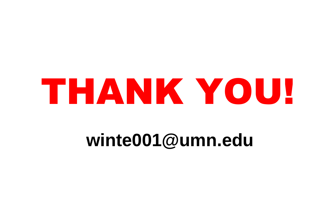# THANK YOU!

# **winte001@umn.edu**